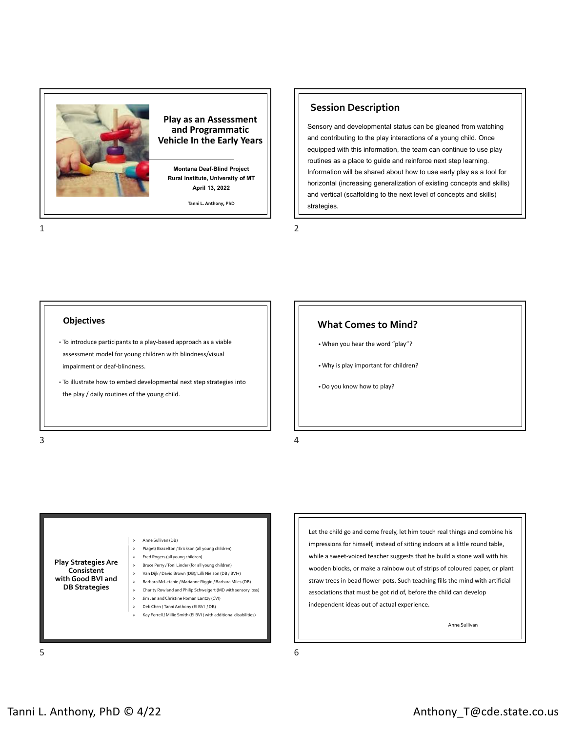

### **Session Description**

Sensory and developmental status can be gleaned from watching and contributing to the play interactions of a young child. Once equipped with this information, the team can continue to use play routines as a place to guide and reinforce next step learning. Information will be shared about how to use early play as a tool for horizontal (increasing generalization of existing concepts and skills) and vertical (scaffolding to the next level of concepts and skills) strategies.

 $1$  2

### **Objectives**

- To introduce participants to a play‐based approach as a viable assessment model for young children with blindness/visual impairment or deaf-blindness.
- To illustrate how to embed developmental next step strategies into the play / daily routines of the young child.

### **What Comes to Mind?**

- When you hear the word "play"?
- Why is play important for children?
- Do you know how to play?

**Play Strategies Are Consistent with Good BVI and DB Strategies** Anne Sullivan (DB) Piaget/ Brazelton / Erickson (all young children) Fred Rogers (all young children) Bruce Perry /Toni Linder (for all young children) Van Dijk / David Brown (DB)/ Lilli Nielson (DB / BVI+) Barbara McLetchie / Marianne Riggio / Barbara Miles (DB) Charity Rowland and Philip Schweigert (MD with sensory loss) Jim Jan andChristine Roman Lantzy (CVI) Deb Chen /TanniAnthony (EI BVI / DB) Kay Ferrell / Millie Smith (EI BVI / with additional disabilities)

Let the child go and come freely, let him touch real things and combine his impressions for himself, instead of sitting indoors at a little round table, while a sweet-voiced teacher suggests that he build a stone wall with his wooden blocks, or make a rainbow out of strips of coloured paper, or plant straw trees in bead flower‐pots. Such teaching fills the mind with artificial associations that must be got rid of, before the child can develop independent ideas out of actual experience.

Anne Sullivan

 $5<sub>6</sub>$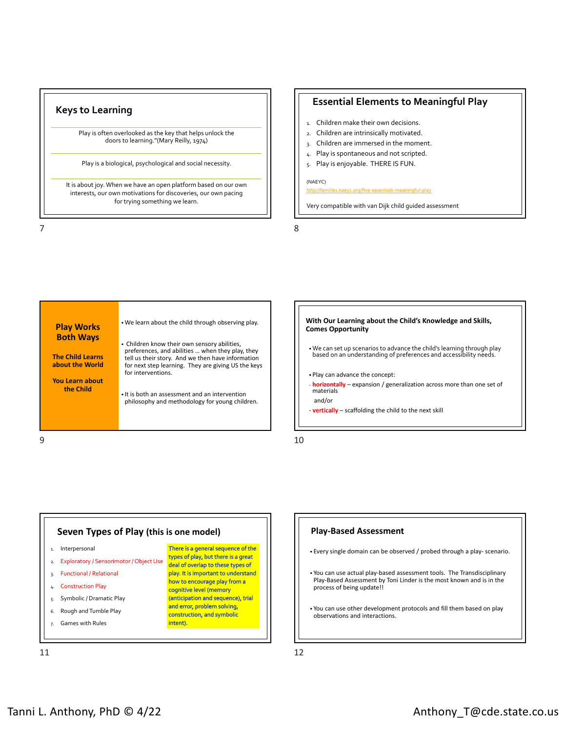### **Keys to Learning**

Play is often overlooked as the key that helps unlock the doors to learning."(Mary Reilly, 1974)

Play is a biological, psychological and social necessity.

It is about joy. When we have an open platform based on our own interests, our own motivations for discoveries, our own pacing for trying something we learn.

### **Essential Elements to Meaningful Play**

- 1. Children make their own decisions.
- 2. Children are intrinsically motivated.
- 3. Children are immersed in the moment.
- 4. Play is spontaneous and not scripted.
- 5. Play is enjoyable. THERE IS FUN.

#### (NAEYC)

http://families.naeyc.org/five‐essentials‐meaningful‐play

Very compatible with van Dijk child guided assessment

 $7$ 

| for interventions.<br><b>You Learn about</b><br>the Child<br>• It is both an assessment and an intervention<br>philosophy and methodology for young children. | <b>Play Works</b><br><b>Both Ways</b><br><b>The Child Learns</b><br>about the World | . We learn about the child through observing play.<br>• Children know their own sensory abilities,<br>preferences, and abilities  when they play, they<br>tell us their story. And we then have information<br>for next step learning. They are giving US the keys |
|---------------------------------------------------------------------------------------------------------------------------------------------------------------|-------------------------------------------------------------------------------------|--------------------------------------------------------------------------------------------------------------------------------------------------------------------------------------------------------------------------------------------------------------------|
|---------------------------------------------------------------------------------------------------------------------------------------------------------------|-------------------------------------------------------------------------------------|--------------------------------------------------------------------------------------------------------------------------------------------------------------------------------------------------------------------------------------------------------------------|





#### **Play‐Based Assessment**

- Every single domain can be observed / probed through a play‐ scenario.
- You can use actual play‐based assessment tools. The Transdisciplinary Play‐Based Assessment by Toni Linder is the most known and is in the process of being update!!
- You can use other development protocols and fill them based on play observations and interactions.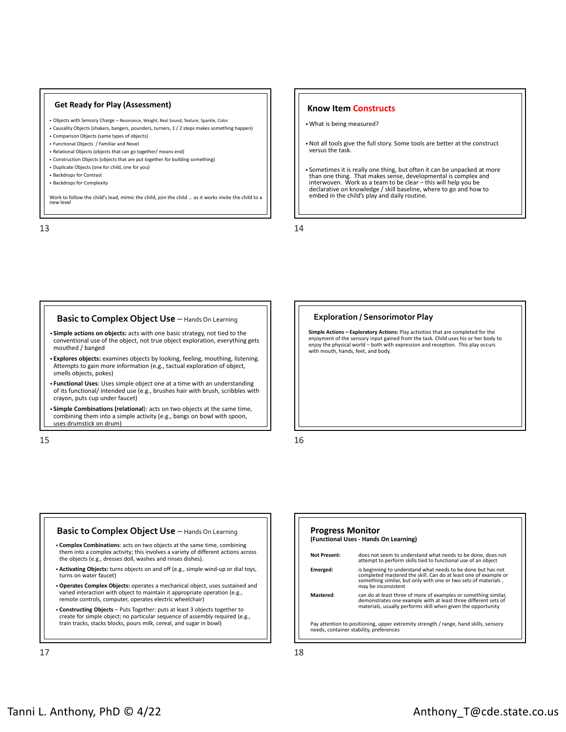#### **Get Ready for Play (Assessment)**

- Objects with Sensory Charge Resonance, Weight, Real Sound, Texture, Sparkle, Color
- Causality Objects (shakers, bangers, pounders, turners, 1 / 2 steps makes something happen)
- Comparison Objects (same types of objects)
- Functional Objects / Familiar and Novel
- Relational Objects (objects that can go together/ means end)
- Construction Objects (objects that are put together for building something)
- Duplicate Objects (one for child, one for you)
- Backdrops for Contrast
- Backdrops for Complexity

Work to follow the child's lead, mimic the child, join the child ... as it works invite the child to a

 $13$  and  $14$ 

#### **Know Item Constructs**

• What is being measured?

• Not all tools give the full story. Some tools are better at the construct versus the task.

• Sometimes it is really one thing, but often it can be unpacked at more than one thing. That makes sense, developmental is complex and interwoven. Work as a team to be clear – this will help you be declarative on knowledge / skill baseline, where to go and how to embed in the child's play and daily routine.

### **Basic to Complex Object Use** – Hands On Learning

- **Simple actions on objects:** acts with one basic strategy, not tied to the conventional use of the object, not true object exploration, everything gets mouthed / banged
- **Explores objects:** examines objects by looking, feeling, mouthing, listening. Attempts to gain more information (e.g., tactual exploration of object, smells objects, pokes)
- **Functional Uses**: Uses simple object one at a time with an understanding of its functional/ intended use (e.g., brushes hair with brush, scribbles with crayon, puts cup under faucet)
- **Simple Combinations (relational**): acts on two objects at the same time, combining them into a simple activity (e.g., bangs on bowl with spoon, uses drumstick on drum)

 $15$  and  $16$ 

#### **Exploration / Sensorimotor Play**

**Simple Actions – Exploratory Actions:** Play activities that are completed for the enjoyment of the sensory input gained from the task. Child uses his or her body to enjoy the physical world – both with expression and reception. This play occurs with mouth, hands, feet, and body.



## **Progress Monitor (Functional Uses ‐ Hands On Learning) Not Present:**  does not seem to understand what needs to be done, does not attempt to perform skills tied to functional use of an object **Emerged:** is beginning to understand what needs to be done but has not completed mastered the skill. Can do at least one of example or something similar, but only with one or two sets of materials , may be inconsistent **Mastered**: can do at least three of more of examples or something similar, demonstrates one example with at least three different sets of materials, usually performs skill when given the opportunity Pay attention to positioning, upper extremity strength / range, hand skills, sensory needs, container stability, preferences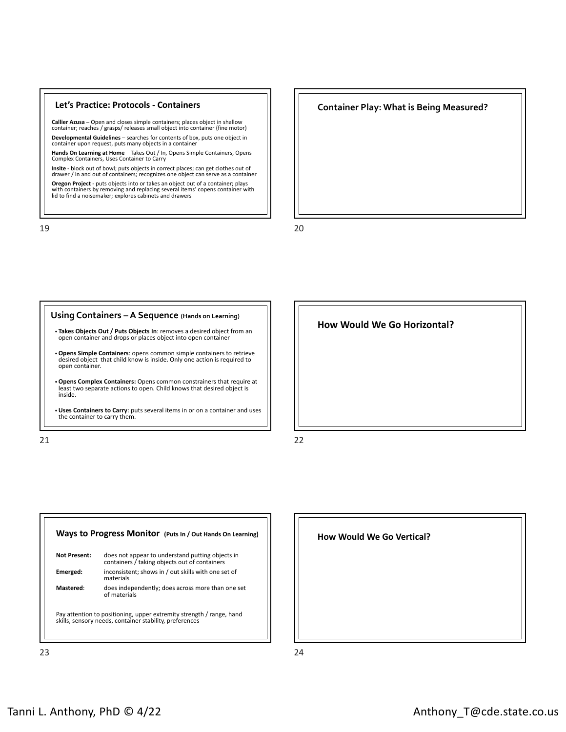#### **Let's Practice: Protocols ‐ Containers**

**Callier Azusa** – Open and closes simple containers; places object in shallow container; reaches / grasps/ releases small object into container (fine motor) **Developmental Guidelines** – searches for contents of box, puts one object in container upon request, puts many objects in a container

**Hands On Learning at Home** – Takes Out / In, Opens Simple Containers, Opens Complex Containers, Uses Container to Carry

I**nsite** ‐ block out of bowl; puts objects in correct places; can get clothes out of drawer / in and out of containers; recognizes one object can serve as a container

**Oregon Project** ‐ puts objects into or takes an object out of a container; plays with containers by removing and replacing several items' copens container with lid to find a noisemaker; explores cabinets and drawers

19 20







| does not appear to understand putting objects in<br>containers / taking objects out of containers |
|---------------------------------------------------------------------------------------------------|
|                                                                                                   |
| inconsistent; shows in / out skills with one set of<br>materials                                  |
| does independently; does across more than one set<br>of materials                                 |
|                                                                                                   |

**How Would We Go Vertical?**